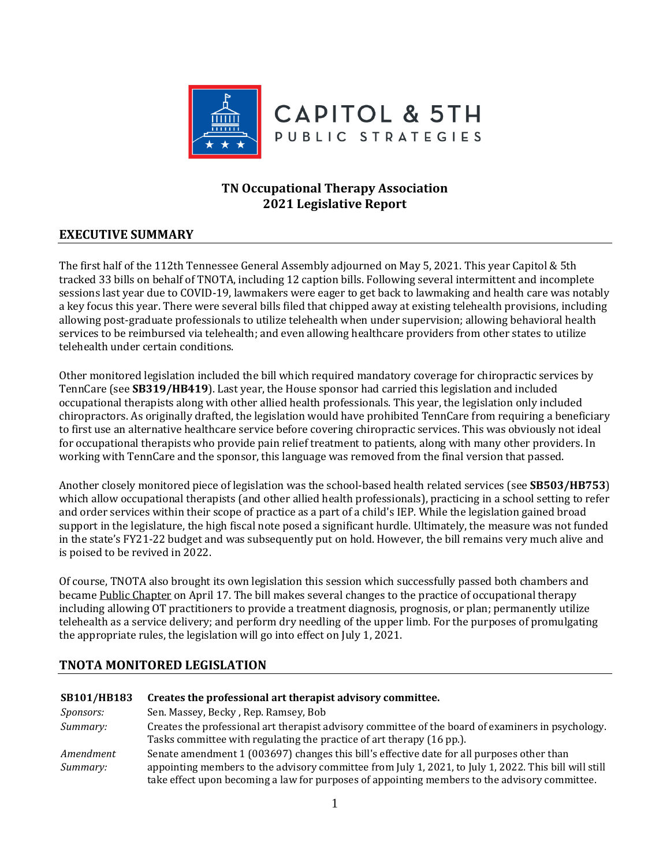

# **TN Occupational Therapy Association 2021 Legislative Report**

# **EXECUTIVE SUMMARY**

The first half of the 112th Tennessee General Assembly adjourned on May 5, 2021. This year Capitol & 5th tracked 33 bills on behalf of TNOTA, including 12 caption bills. Following several intermittent and incomplete sessions last year due to COVID-19, lawmakers were eager to get back to lawmaking and health care was notably a key focus this year. There were several bills filed that chipped away at existing telehealth provisions, including allowing post-graduate professionals to utilize telehealth when under supervision; allowing behavioral health services to be reimbursed via telehealth; and even allowing healthcare providers from other states to utilize telehealth under certain conditions.

Other monitored legislation included the bill which required mandatory coverage for chiropractic services by TennCare (see **SB319/HB419**). Last year, the House sponsor had carried this legislation and included occupational therapists along with other allied health professionals. This year, the legislation only included chiropractors. As originally drafted, the legislation would have prohibited TennCare from requiring a beneficiary to first use an alternative healthcare service before covering chiropractic services. This was obviously not ideal for occupational therapists who provide pain relief treatment to patients, along with many other providers. In working with TennCare and the sponsor, this language was removed from the final version that passed.

Another closely monitored piece of legislation was the school-based health related services (see **SB503/HB753**) which allow occupational therapists (and other allied health professionals), practicing in a school setting to refer and order services within their scope of practice as a part of a child's IEP. While the legislation gained broad support in the legislature, the high fiscal note posed a significant hurdle. Ultimately, the measure was not funded in the state's FY21-22 budget and was subsequently put on hold. However, the bill remains very much alive and is poised to be revived in 2022.

Of course, TNOTA also brought its own legislation this session which successfully passed both chambers and became [Public Chapter](https://publications.tnsosfiles.com/acts/112/pub/pc0143.pdf) on April 17. The bill makes several changes to the practice of occupational therapy including allowing OT practitioners to provide a treatment diagnosis, prognosis, or plan; permanently utilize telehealth as a service delivery; and perform dry needling of the upper limb. For the purposes of promulgating the appropriate rules, the legislation will go into effect on July 1, 2021.

# **TNOTA MONITORED LEGISLATION**

| <b>SB101/HB183</b>    | Creates the professional art therapist advisory committee.                                                                                                                                                                                                                                           |
|-----------------------|------------------------------------------------------------------------------------------------------------------------------------------------------------------------------------------------------------------------------------------------------------------------------------------------------|
| <i>Sponsors:</i>      | Sen. Massey, Becky, Rep. Ramsey, Bob                                                                                                                                                                                                                                                                 |
| Summary:              | Creates the professional art therapist advisory committee of the board of examiners in psychology.<br>Tasks committee with regulating the practice of art therapy (16 pp.).                                                                                                                          |
| Amendment<br>Summary: | Senate amendment 1 (003697) changes this bill's effective date for all purposes other than<br>appointing members to the advisory committee from July 1, 2021, to July 1, 2022. This bill will still<br>take effect upon becoming a law for purposes of appointing members to the advisory committee. |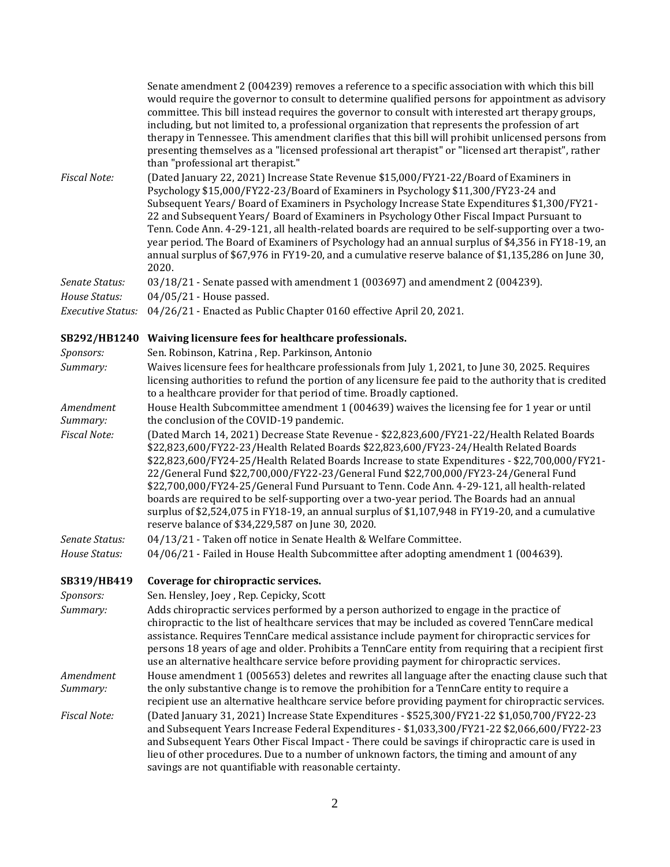|                          | Senate amendment 2 (004239) removes a reference to a specific association with which this bill<br>would require the governor to consult to determine qualified persons for appointment as advisory<br>committee. This bill instead requires the governor to consult with interested art therapy groups,<br>including, but not limited to, a professional organization that represents the profession of art<br>therapy in Tennessee. This amendment clarifies that this bill will prohibit unlicensed persons from<br>presenting themselves as a "licensed professional art therapist" or "licensed art therapist", rather<br>than "professional art therapist."                                                                  |
|--------------------------|-----------------------------------------------------------------------------------------------------------------------------------------------------------------------------------------------------------------------------------------------------------------------------------------------------------------------------------------------------------------------------------------------------------------------------------------------------------------------------------------------------------------------------------------------------------------------------------------------------------------------------------------------------------------------------------------------------------------------------------|
| <b>Fiscal Note:</b>      | (Dated January 22, 2021) Increase State Revenue \$15,000/FY21-22/Board of Examiners in<br>Psychology \$15,000/FY22-23/Board of Examiners in Psychology \$11,300/FY23-24 and<br>Subsequent Years/Board of Examiners in Psychology Increase State Expenditures \$1,300/FY21-<br>22 and Subsequent Years/ Board of Examiners in Psychology Other Fiscal Impact Pursuant to<br>Tenn. Code Ann. 4-29-121, all health-related boards are required to be self-supporting over a two-<br>year period. The Board of Examiners of Psychology had an annual surplus of \$4,356 in FY18-19, an<br>annual surplus of \$67,976 in FY19-20, and a cumulative reserve balance of \$1,135,286 on June 30,<br>2020.                                 |
| Senate Status:           | 03/18/21 - Senate passed with amendment 1 (003697) and amendment 2 (004239).                                                                                                                                                                                                                                                                                                                                                                                                                                                                                                                                                                                                                                                      |
| House Status:            | 04/05/21 - House passed.                                                                                                                                                                                                                                                                                                                                                                                                                                                                                                                                                                                                                                                                                                          |
| <b>Executive Status:</b> | 04/26/21 - Enacted as Public Chapter 0160 effective April 20, 2021.                                                                                                                                                                                                                                                                                                                                                                                                                                                                                                                                                                                                                                                               |
| SB292/HB1240             | Waiving licensure fees for healthcare professionals.                                                                                                                                                                                                                                                                                                                                                                                                                                                                                                                                                                                                                                                                              |
| Sponsors:                | Sen. Robinson, Katrina, Rep. Parkinson, Antonio                                                                                                                                                                                                                                                                                                                                                                                                                                                                                                                                                                                                                                                                                   |
| Summary:                 | Waives licensure fees for healthcare professionals from July 1, 2021, to June 30, 2025. Requires<br>licensing authorities to refund the portion of any licensure fee paid to the authority that is credited<br>to a healthcare provider for that period of time. Broadly captioned.                                                                                                                                                                                                                                                                                                                                                                                                                                               |
| Amendment<br>Summary:    | House Health Subcommittee amendment 1 (004639) waives the licensing fee for 1 year or until<br>the conclusion of the COVID-19 pandemic.                                                                                                                                                                                                                                                                                                                                                                                                                                                                                                                                                                                           |
| <b>Fiscal Note:</b>      | (Dated March 14, 2021) Decrease State Revenue - \$22,823,600/FY21-22/Health Related Boards<br>\$22,823,600/FY22-23/Health Related Boards \$22,823,600/FY23-24/Health Related Boards<br>\$22,823,600/FY24-25/Health Related Boards Increase to state Expenditures - \$22,700,000/FY21-<br>22/General Fund \$22,700,000/FY22-23/General Fund \$22,700,000/FY23-24/General Fund<br>\$22,700,000/FY24-25/General Fund Pursuant to Tenn. Code Ann. 4-29-121, all health-related<br>boards are required to be self-supporting over a two-year period. The Boards had an annual<br>surplus of \$2,524,075 in FY18-19, an annual surplus of \$1,107,948 in FY19-20, and a cumulative<br>reserve balance of \$34,229,587 on June 30, 2020. |
| Senate Status:           | 04/13/21 - Taken off notice in Senate Health & Welfare Committee.                                                                                                                                                                                                                                                                                                                                                                                                                                                                                                                                                                                                                                                                 |
| House Status:            | 04/06/21 - Failed in House Health Subcommittee after adopting amendment 1 (004639).                                                                                                                                                                                                                                                                                                                                                                                                                                                                                                                                                                                                                                               |
| SB319/HB419              | Coverage for chiropractic services.                                                                                                                                                                                                                                                                                                                                                                                                                                                                                                                                                                                                                                                                                               |
| Sponsors:                | Sen. Hensley, Joey, Rep. Cepicky, Scott                                                                                                                                                                                                                                                                                                                                                                                                                                                                                                                                                                                                                                                                                           |
| Summary:                 | Adds chiropractic services performed by a person authorized to engage in the practice of<br>chiropractic to the list of healthcare services that may be included as covered TennCare medical<br>assistance. Requires TennCare medical assistance include payment for chiropractic services for<br>persons 18 years of age and older. Prohibits a TennCare entity from requiring that a recipient first<br>use an alternative healthcare service before providing payment for chiropractic services.                                                                                                                                                                                                                               |
| Amendment<br>Summary:    | House amendment 1 (005653) deletes and rewrites all language after the enacting clause such that<br>the only substantive change is to remove the prohibition for a TennCare entity to require a<br>recipient use an alternative healthcare service before providing payment for chiropractic services.                                                                                                                                                                                                                                                                                                                                                                                                                            |
| <b>Fiscal Note:</b>      | (Dated January 31, 2021) Increase State Expenditures - \$525,300/FY21-22 \$1,050,700/FY22-23<br>and Subsequent Years Increase Federal Expenditures - \$1,033,300/FY21-22 \$2,066,600/FY22-23<br>and Subsequent Years Other Fiscal Impact - There could be savings if chiropractic care is used in<br>lieu of other procedures. Due to a number of unknown factors, the timing and amount of any<br>savings are not quantifiable with reasonable certainty.                                                                                                                                                                                                                                                                        |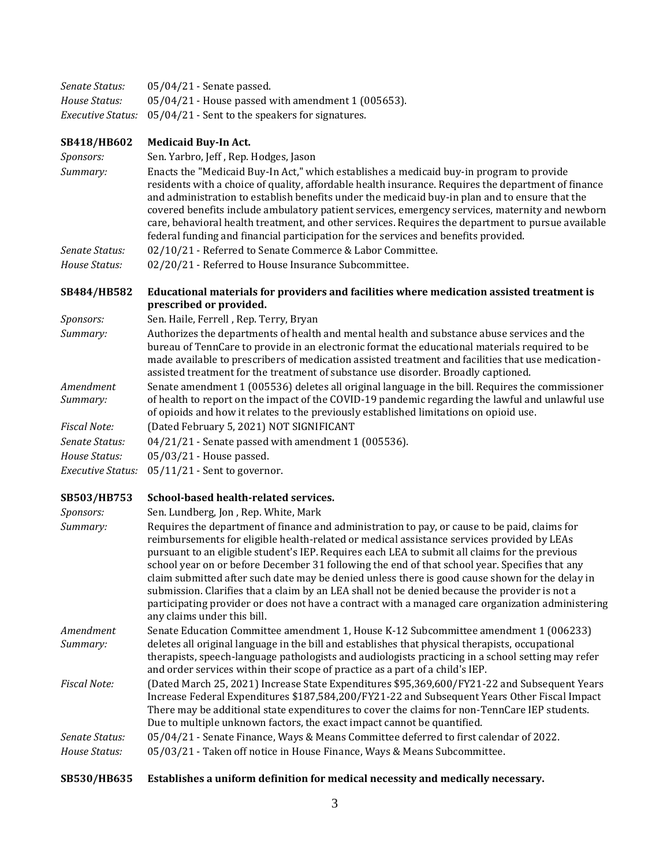| Senate Status:           | 05/04/21 - Senate passed.                                                                                                                                                                                                                                                                                                                                                                                                                                                                                                                                                                                                                                                                                                                |
|--------------------------|------------------------------------------------------------------------------------------------------------------------------------------------------------------------------------------------------------------------------------------------------------------------------------------------------------------------------------------------------------------------------------------------------------------------------------------------------------------------------------------------------------------------------------------------------------------------------------------------------------------------------------------------------------------------------------------------------------------------------------------|
| House Status:            | 05/04/21 - House passed with amendment 1 (005653).                                                                                                                                                                                                                                                                                                                                                                                                                                                                                                                                                                                                                                                                                       |
| <b>Executive Status:</b> | 05/04/21 - Sent to the speakers for signatures.                                                                                                                                                                                                                                                                                                                                                                                                                                                                                                                                                                                                                                                                                          |
| SB418/HB602              | <b>Medicaid Buy-In Act.</b>                                                                                                                                                                                                                                                                                                                                                                                                                                                                                                                                                                                                                                                                                                              |
| Sponsors:                | Sen. Yarbro, Jeff, Rep. Hodges, Jason                                                                                                                                                                                                                                                                                                                                                                                                                                                                                                                                                                                                                                                                                                    |
| Summary:                 | Enacts the "Medicaid Buy-In Act," which establishes a medicaid buy-in program to provide<br>residents with a choice of quality, affordable health insurance. Requires the department of finance<br>and administration to establish benefits under the medicaid buy-in plan and to ensure that the<br>covered benefits include ambulatory patient services, emergency services, maternity and newborn<br>care, behavioral health treatment, and other services. Requires the department to pursue available<br>federal funding and financial participation for the services and benefits provided.                                                                                                                                        |
| Senate Status:           | 02/10/21 - Referred to Senate Commerce & Labor Committee.                                                                                                                                                                                                                                                                                                                                                                                                                                                                                                                                                                                                                                                                                |
| House Status:            | 02/20/21 - Referred to House Insurance Subcommittee.                                                                                                                                                                                                                                                                                                                                                                                                                                                                                                                                                                                                                                                                                     |
| SB484/HB582              | Educational materials for providers and facilities where medication assisted treatment is<br>prescribed or provided.                                                                                                                                                                                                                                                                                                                                                                                                                                                                                                                                                                                                                     |
| Sponsors:                | Sen. Haile, Ferrell, Rep. Terry, Bryan                                                                                                                                                                                                                                                                                                                                                                                                                                                                                                                                                                                                                                                                                                   |
| Summary:                 | Authorizes the departments of health and mental health and substance abuse services and the<br>bureau of TennCare to provide in an electronic format the educational materials required to be<br>made available to prescribers of medication assisted treatment and facilities that use medication-<br>assisted treatment for the treatment of substance use disorder. Broadly captioned.                                                                                                                                                                                                                                                                                                                                                |
| Amendment<br>Summary:    | Senate amendment 1 (005536) deletes all original language in the bill. Requires the commissioner<br>of health to report on the impact of the COVID-19 pandemic regarding the lawful and unlawful use<br>of opioids and how it relates to the previously established limitations on opioid use.                                                                                                                                                                                                                                                                                                                                                                                                                                           |
| <b>Fiscal Note:</b>      | (Dated February 5, 2021) NOT SIGNIFICANT                                                                                                                                                                                                                                                                                                                                                                                                                                                                                                                                                                                                                                                                                                 |
| Senate Status:           | 04/21/21 - Senate passed with amendment 1 (005536).                                                                                                                                                                                                                                                                                                                                                                                                                                                                                                                                                                                                                                                                                      |
| House Status:            | 05/03/21 - House passed.                                                                                                                                                                                                                                                                                                                                                                                                                                                                                                                                                                                                                                                                                                                 |
| <b>Executive Status:</b> | 05/11/21 - Sent to governor.                                                                                                                                                                                                                                                                                                                                                                                                                                                                                                                                                                                                                                                                                                             |
| SB503/HB753              | School-based health-related services.                                                                                                                                                                                                                                                                                                                                                                                                                                                                                                                                                                                                                                                                                                    |
| Sponsors:                | Sen. Lundberg, Jon, Rep. White, Mark                                                                                                                                                                                                                                                                                                                                                                                                                                                                                                                                                                                                                                                                                                     |
| Summary:                 | Requires the department of finance and administration to pay, or cause to be paid, claims for<br>reimbursements for eligible health-related or medical assistance services provided by LEAs<br>pursuant to an eligible student's IEP. Requires each LEA to submit all claims for the previous<br>school year on or before December 31 following the end of that school year. Specifies that any<br>claim submitted after such date may be denied unless there is good cause shown for the delay in<br>submission. Clarifies that a claim by an LEA shall not be denied because the provider is not a<br>participating provider or does not have a contract with a managed care organization administering<br>any claims under this bill. |
| Amendment<br>Summary:    | Senate Education Committee amendment 1, House K-12 Subcommittee amendment 1 (006233)<br>deletes all original language in the bill and establishes that physical therapists, occupational<br>therapists, speech-language pathologists and audiologists practicing in a school setting may refer<br>and order services within their scope of practice as a part of a child's IEP.                                                                                                                                                                                                                                                                                                                                                          |
| <b>Fiscal Note:</b>      | (Dated March 25, 2021) Increase State Expenditures \$95,369,600/FY21-22 and Subsequent Years<br>Increase Federal Expenditures \$187,584,200/FY21-22 and Subsequent Years Other Fiscal Impact<br>There may be additional state expenditures to cover the claims for non-TennCare IEP students.<br>Due to multiple unknown factors, the exact impact cannot be quantified.                                                                                                                                                                                                                                                                                                                                                                 |
| Senate Status:           | 05/04/21 - Senate Finance, Ways & Means Committee deferred to first calendar of 2022.                                                                                                                                                                                                                                                                                                                                                                                                                                                                                                                                                                                                                                                    |
| House Status:            | 05/03/21 - Taken off notice in House Finance, Ways & Means Subcommittee.                                                                                                                                                                                                                                                                                                                                                                                                                                                                                                                                                                                                                                                                 |

# **[SB530/HB635 Establishes a uniform definition for medical necessity and medically necessary.](https://tls.mleesmith.com/2021-2022/pdf/SB0530.pdf)**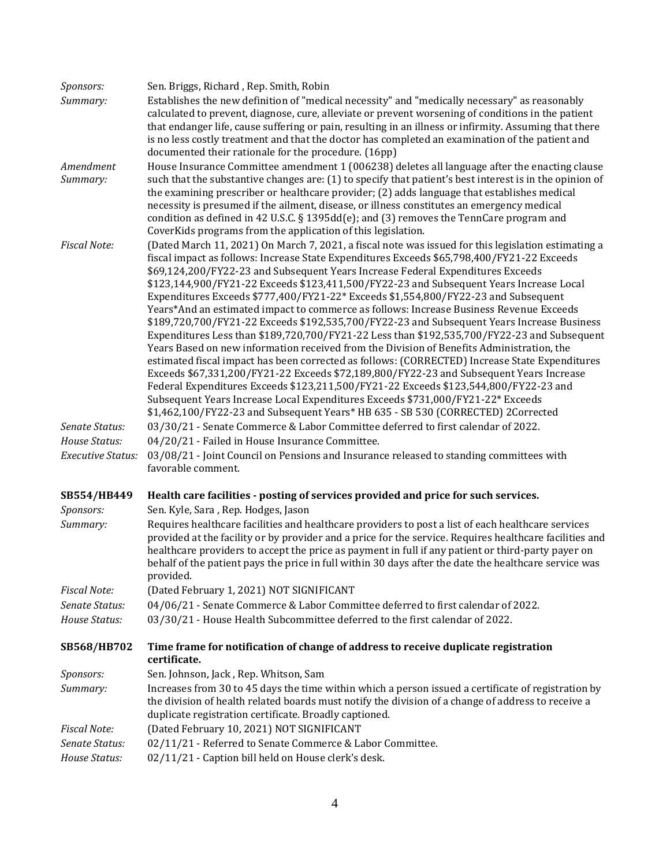| Sponsors:                       | Sen. Briggs, Richard, Rep. Smith, Robin                                                                                                                                                                                                                                                                                                                                                                                                                                                                                                                                                                                                                                                                                                                                                                                                                                                                                                                                                                                                                                                                                                                                                                                                                                                                                |
|---------------------------------|------------------------------------------------------------------------------------------------------------------------------------------------------------------------------------------------------------------------------------------------------------------------------------------------------------------------------------------------------------------------------------------------------------------------------------------------------------------------------------------------------------------------------------------------------------------------------------------------------------------------------------------------------------------------------------------------------------------------------------------------------------------------------------------------------------------------------------------------------------------------------------------------------------------------------------------------------------------------------------------------------------------------------------------------------------------------------------------------------------------------------------------------------------------------------------------------------------------------------------------------------------------------------------------------------------------------|
| Summary:                        | Establishes the new definition of "medical necessity" and "medically necessary" as reasonably<br>calculated to prevent, diagnose, cure, alleviate or prevent worsening of conditions in the patient<br>that endanger life, cause suffering or pain, resulting in an illness or infirmity. Assuming that there<br>is no less costly treatment and that the doctor has completed an examination of the patient and<br>documented their rationale for the procedure. (16pp)                                                                                                                                                                                                                                                                                                                                                                                                                                                                                                                                                                                                                                                                                                                                                                                                                                               |
| Amendment<br>Summary:           | House Insurance Committee amendment 1 (006238) deletes all language after the enacting clause<br>such that the substantive changes are: (1) to specify that patient's best interest is in the opinion of<br>the examining prescriber or healthcare provider; (2) adds language that establishes medical<br>necessity is presumed if the ailment, disease, or illness constitutes an emergency medical                                                                                                                                                                                                                                                                                                                                                                                                                                                                                                                                                                                                                                                                                                                                                                                                                                                                                                                  |
|                                 | condition as defined in 42 U.S.C. § 1395dd(e); and (3) removes the TennCare program and<br>CoverKids programs from the application of this legislation.                                                                                                                                                                                                                                                                                                                                                                                                                                                                                                                                                                                                                                                                                                                                                                                                                                                                                                                                                                                                                                                                                                                                                                |
| <b>Fiscal Note:</b>             | (Dated March 11, 2021) On March 7, 2021, a fiscal note was issued for this legislation estimating a<br>fiscal impact as follows: Increase State Expenditures Exceeds \$65,798,400/FY21-22 Exceeds<br>\$69,124,200/FY22-23 and Subsequent Years Increase Federal Expenditures Exceeds<br>\$123,144,900/FY21-22 Exceeds \$123,411,500/FY22-23 and Subsequent Years Increase Local<br>Expenditures Exceeds \$777,400/FY21-22* Exceeds \$1,554,800/FY22-23 and Subsequent<br>Years*And an estimated impact to commerce as follows: Increase Business Revenue Exceeds<br>\$189,720,700/FY21-22 Exceeds \$192,535,700/FY22-23 and Subsequent Years Increase Business<br>Expenditures Less than \$189,720,700/FY21-22 Less than \$192,535,700/FY22-23 and Subsequent<br>Years Based on new information received from the Division of Benefits Administration, the<br>estimated fiscal impact has been corrected as follows: (CORRECTED) Increase State Expenditures<br>Exceeds \$67,331,200/FY21-22 Exceeds \$72,189,800/FY22-23 and Subsequent Years Increase<br>Federal Expenditures Exceeds \$123,211,500/FY21-22 Exceeds \$123,544,800/FY22-23 and<br>Subsequent Years Increase Local Expenditures Exceeds \$731,000/FY21-22* Exceeds<br>\$1,462,100/FY22-23 and Subsequent Years* HB 635 - SB 530 (CORRECTED) 2Corrected |
| Senate Status:                  | 03/30/21 - Senate Commerce & Labor Committee deferred to first calendar of 2022.                                                                                                                                                                                                                                                                                                                                                                                                                                                                                                                                                                                                                                                                                                                                                                                                                                                                                                                                                                                                                                                                                                                                                                                                                                       |
| House Status:                   | 04/20/21 - Failed in House Insurance Committee.                                                                                                                                                                                                                                                                                                                                                                                                                                                                                                                                                                                                                                                                                                                                                                                                                                                                                                                                                                                                                                                                                                                                                                                                                                                                        |
| <b>Executive Status:</b>        | 03/08/21 - Joint Council on Pensions and Insurance released to standing committees with<br>favorable comment.                                                                                                                                                                                                                                                                                                                                                                                                                                                                                                                                                                                                                                                                                                                                                                                                                                                                                                                                                                                                                                                                                                                                                                                                          |
| SB554/HB449                     | Health care facilities - posting of services provided and price for such services.                                                                                                                                                                                                                                                                                                                                                                                                                                                                                                                                                                                                                                                                                                                                                                                                                                                                                                                                                                                                                                                                                                                                                                                                                                     |
| Sponsors:<br>Summary:           | Sen. Kyle, Sara, Rep. Hodges, Jason<br>Requires healthcare facilities and healthcare providers to post a list of each healthcare services<br>provided at the facility or by provider and a price for the service. Requires healthcare facilities and<br>healthcare providers to accept the price as payment in full if any patient or third-party payer on<br>behalf of the patient pays the price in full within 30 days after the date the healthcare service was<br>provided.                                                                                                                                                                                                                                                                                                                                                                                                                                                                                                                                                                                                                                                                                                                                                                                                                                       |
| <b>Fiscal Note:</b>             | (Dated February 1, 2021) NOT SIGNIFICANT                                                                                                                                                                                                                                                                                                                                                                                                                                                                                                                                                                                                                                                                                                                                                                                                                                                                                                                                                                                                                                                                                                                                                                                                                                                                               |
| Senate Status:                  | 04/06/21 - Senate Commerce & Labor Committee deferred to first calendar of 2022.                                                                                                                                                                                                                                                                                                                                                                                                                                                                                                                                                                                                                                                                                                                                                                                                                                                                                                                                                                                                                                                                                                                                                                                                                                       |
| House Status:                   | 03/30/21 - House Health Subcommittee deferred to the first calendar of 2022.                                                                                                                                                                                                                                                                                                                                                                                                                                                                                                                                                                                                                                                                                                                                                                                                                                                                                                                                                                                                                                                                                                                                                                                                                                           |
| SB568/HB702                     | Time frame for notification of change of address to receive duplicate registration<br>certificate.                                                                                                                                                                                                                                                                                                                                                                                                                                                                                                                                                                                                                                                                                                                                                                                                                                                                                                                                                                                                                                                                                                                                                                                                                     |
| Sponsors:                       | Sen. Johnson, Jack, Rep. Whitson, Sam                                                                                                                                                                                                                                                                                                                                                                                                                                                                                                                                                                                                                                                                                                                                                                                                                                                                                                                                                                                                                                                                                                                                                                                                                                                                                  |
| Summary:                        | Increases from 30 to 45 days the time within which a person issued a certificate of registration by<br>the division of health related boards must notify the division of a change of address to receive a<br>duplicate registration certificate. Broadly captioned.                                                                                                                                                                                                                                                                                                                                                                                                                                                                                                                                                                                                                                                                                                                                                                                                                                                                                                                                                                                                                                                    |
| <b>Fiscal Note:</b>             | (Dated February 10, 2021) NOT SIGNIFICANT                                                                                                                                                                                                                                                                                                                                                                                                                                                                                                                                                                                                                                                                                                                                                                                                                                                                                                                                                                                                                                                                                                                                                                                                                                                                              |
| Senate Status:<br>House Status: | 02/11/21 - Referred to Senate Commerce & Labor Committee.<br>02/11/21 - Caption bill held on House clerk's desk.                                                                                                                                                                                                                                                                                                                                                                                                                                                                                                                                                                                                                                                                                                                                                                                                                                                                                                                                                                                                                                                                                                                                                                                                       |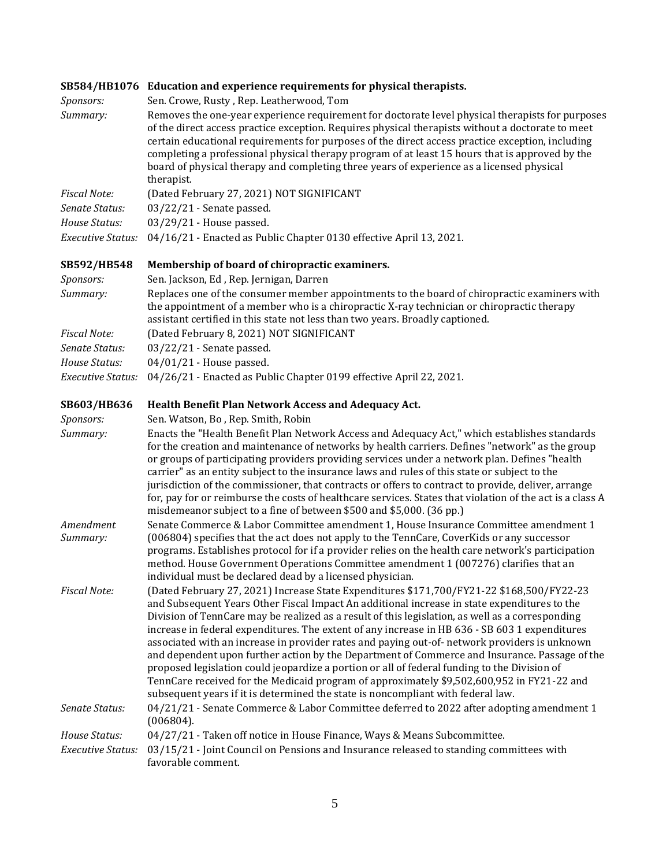|                          | SB584/HB1076 Education and experience requirements for physical therapists.                                                                                                                                                                                                                                                                                                                                                                                                                                                                                                                                                                                                                                                                                                                                                                                                         |
|--------------------------|-------------------------------------------------------------------------------------------------------------------------------------------------------------------------------------------------------------------------------------------------------------------------------------------------------------------------------------------------------------------------------------------------------------------------------------------------------------------------------------------------------------------------------------------------------------------------------------------------------------------------------------------------------------------------------------------------------------------------------------------------------------------------------------------------------------------------------------------------------------------------------------|
| Sponsors:                | Sen. Crowe, Rusty, Rep. Leatherwood, Tom                                                                                                                                                                                                                                                                                                                                                                                                                                                                                                                                                                                                                                                                                                                                                                                                                                            |
| Summary:                 | Removes the one-year experience requirement for doctorate level physical therapists for purposes<br>of the direct access practice exception. Requires physical therapists without a doctorate to meet<br>certain educational requirements for purposes of the direct access practice exception, including<br>completing a professional physical therapy program of at least 15 hours that is approved by the<br>board of physical therapy and completing three years of experience as a licensed physical<br>therapist.                                                                                                                                                                                                                                                                                                                                                             |
| <b>Fiscal Note:</b>      | (Dated February 27, 2021) NOT SIGNIFICANT                                                                                                                                                                                                                                                                                                                                                                                                                                                                                                                                                                                                                                                                                                                                                                                                                                           |
| Senate Status:           | 03/22/21 - Senate passed.                                                                                                                                                                                                                                                                                                                                                                                                                                                                                                                                                                                                                                                                                                                                                                                                                                                           |
| House Status:            | 03/29/21 - House passed.                                                                                                                                                                                                                                                                                                                                                                                                                                                                                                                                                                                                                                                                                                                                                                                                                                                            |
| <b>Executive Status:</b> | 04/16/21 - Enacted as Public Chapter 0130 effective April 13, 2021.                                                                                                                                                                                                                                                                                                                                                                                                                                                                                                                                                                                                                                                                                                                                                                                                                 |
| SB592/HB548              | Membership of board of chiropractic examiners.                                                                                                                                                                                                                                                                                                                                                                                                                                                                                                                                                                                                                                                                                                                                                                                                                                      |
| Sponsors:                | Sen. Jackson, Ed, Rep. Jernigan, Darren                                                                                                                                                                                                                                                                                                                                                                                                                                                                                                                                                                                                                                                                                                                                                                                                                                             |
| Summary:                 | Replaces one of the consumer member appointments to the board of chiropractic examiners with<br>the appointment of a member who is a chiropractic X-ray technician or chiropractic therapy<br>assistant certified in this state not less than two years. Broadly captioned.                                                                                                                                                                                                                                                                                                                                                                                                                                                                                                                                                                                                         |
| <b>Fiscal Note:</b>      | (Dated February 8, 2021) NOT SIGNIFICANT                                                                                                                                                                                                                                                                                                                                                                                                                                                                                                                                                                                                                                                                                                                                                                                                                                            |
| Senate Status:           | 03/22/21 - Senate passed.                                                                                                                                                                                                                                                                                                                                                                                                                                                                                                                                                                                                                                                                                                                                                                                                                                                           |
| House Status:            | 04/01/21 - House passed.                                                                                                                                                                                                                                                                                                                                                                                                                                                                                                                                                                                                                                                                                                                                                                                                                                                            |
| <b>Executive Status:</b> | 04/26/21 - Enacted as Public Chapter 0199 effective April 22, 2021.                                                                                                                                                                                                                                                                                                                                                                                                                                                                                                                                                                                                                                                                                                                                                                                                                 |
| SB603/HB636              | Health Benefit Plan Network Access and Adequacy Act.                                                                                                                                                                                                                                                                                                                                                                                                                                                                                                                                                                                                                                                                                                                                                                                                                                |
| Sponsors:                | Sen. Watson, Bo, Rep. Smith, Robin                                                                                                                                                                                                                                                                                                                                                                                                                                                                                                                                                                                                                                                                                                                                                                                                                                                  |
| Summary:                 | Enacts the "Health Benefit Plan Network Access and Adequacy Act," which establishes standards<br>for the creation and maintenance of networks by health carriers. Defines "network" as the group<br>or groups of participating providers providing services under a network plan. Defines "health<br>carrier" as an entity subject to the insurance laws and rules of this state or subject to the<br>jurisdiction of the commissioner, that contracts or offers to contract to provide, deliver, arrange<br>for, pay for or reimburse the costs of healthcare services. States that violation of the act is a class A<br>misdemeanor subject to a fine of between \$500 and \$5,000. (36 pp.)                                                                                                                                                                                      |
| Amendment<br>Summary:    | Senate Commerce & Labor Committee amendment 1, House Insurance Committee amendment 1<br>(006804) specifies that the act does not apply to the TennCare, CoverKids or any successor<br>programs. Establishes protocol for if a provider relies on the health care network's participation<br>method. House Government Operations Committee amendment 1 (007276) clarifies that an<br>individual must be declared dead by a licensed physician.                                                                                                                                                                                                                                                                                                                                                                                                                                       |
| <b>Fiscal Note:</b>      | (Dated February 27, 2021) Increase State Expenditures \$171,700/FY21-22 \$168,500/FY22-23<br>and Subsequent Years Other Fiscal Impact An additional increase in state expenditures to the<br>Division of TennCare may be realized as a result of this legislation, as well as a corresponding<br>increase in federal expenditures. The extent of any increase in HB 636 - SB 603 1 expenditures<br>associated with an increase in provider rates and paying out-of- network providers is unknown<br>and dependent upon further action by the Department of Commerce and Insurance. Passage of the<br>proposed legislation could jeopardize a portion or all of federal funding to the Division of<br>TennCare received for the Medicaid program of approximately \$9,502,600,952 in FY21-22 and<br>subsequent years if it is determined the state is noncompliant with federal law. |
| Senate Status:           | 04/21/21 - Senate Commerce & Labor Committee deferred to 2022 after adopting amendment 1<br>(006804).                                                                                                                                                                                                                                                                                                                                                                                                                                                                                                                                                                                                                                                                                                                                                                               |
| House Status:            | 04/27/21 - Taken off notice in House Finance, Ways & Means Subcommittee.                                                                                                                                                                                                                                                                                                                                                                                                                                                                                                                                                                                                                                                                                                                                                                                                            |
| <b>Executive Status:</b> | 03/15/21 - Joint Council on Pensions and Insurance released to standing committees with<br>favorable comment.                                                                                                                                                                                                                                                                                                                                                                                                                                                                                                                                                                                                                                                                                                                                                                       |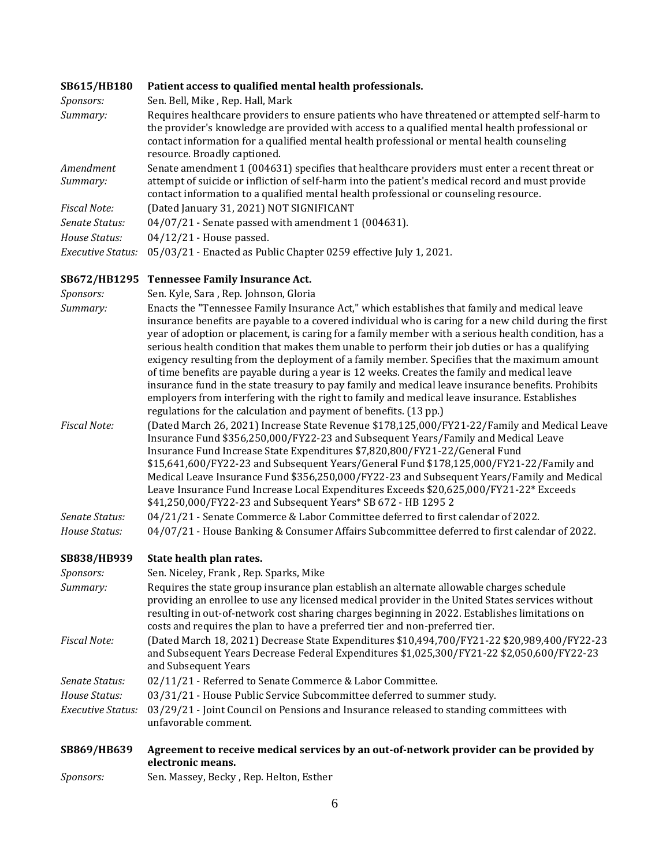| <b>SB615/HB180</b>    | Patient access to qualified mental health professionals.                                                                                                                                                                                                                                                                       |
|-----------------------|--------------------------------------------------------------------------------------------------------------------------------------------------------------------------------------------------------------------------------------------------------------------------------------------------------------------------------|
| Sponsors:             | Sen. Bell, Mike, Rep. Hall, Mark                                                                                                                                                                                                                                                                                               |
| Summary:              | Requires healthcare providers to ensure patients who have threatened or attempted self-harm to<br>the provider's knowledge are provided with access to a qualified mental health professional or<br>contact information for a qualified mental health professional or mental health counseling<br>resource. Broadly captioned. |
| Amendment<br>Summary: | Senate amendment 1 (004631) specifies that healthcare providers must enter a recent threat or<br>attempt of suicide or infliction of self-harm into the patient's medical record and must provide<br>contact information to a qualified mental health professional or counseling resource.                                     |
| <b>Fiscal Note:</b>   | (Dated January 31, 2021) NOT SIGNIFICANT                                                                                                                                                                                                                                                                                       |
| Senate Status:        | $04/07/21$ - Senate passed with amendment 1 (004631).                                                                                                                                                                                                                                                                          |
| House Status:         | $04/12/21$ - House passed.                                                                                                                                                                                                                                                                                                     |
| Executive Status:     | 05/03/21 - Enacted as Public Chapter 0259 effective July 1, 2021.                                                                                                                                                                                                                                                              |

### **[SB672/HB1295 Tennessee Family Insurance Act.](https://tls.mleesmith.com/2021-2022/pdf/SB0672.pdf)**

| Sponsors:           | Sen. Kyle, Sara, Rep. Johnson, Gloria                                                                                                                                                                                                                                                                                                                                                                                                                                                                                                                                                                                                                                                                                                                                                                                                                                                      |
|---------------------|--------------------------------------------------------------------------------------------------------------------------------------------------------------------------------------------------------------------------------------------------------------------------------------------------------------------------------------------------------------------------------------------------------------------------------------------------------------------------------------------------------------------------------------------------------------------------------------------------------------------------------------------------------------------------------------------------------------------------------------------------------------------------------------------------------------------------------------------------------------------------------------------|
| Summary:            | Enacts the "Tennessee Family Insurance Act," which establishes that family and medical leave<br>insurance benefits are payable to a covered individual who is caring for a new child during the first<br>year of adoption or placement, is caring for a family member with a serious health condition, has a<br>serious health condition that makes them unable to perform their job duties or has a qualifying<br>exigency resulting from the deployment of a family member. Specifies that the maximum amount<br>of time benefits are payable during a year is 12 weeks. Creates the family and medical leave<br>insurance fund in the state treasury to pay family and medical leave insurance benefits. Prohibits<br>employers from interfering with the right to family and medical leave insurance. Establishes<br>regulations for the calculation and payment of benefits. (13 pp.) |
| <b>Fiscal Note:</b> | (Dated March 26, 2021) Increase State Revenue \$178,125,000/FY21-22/Family and Medical Leave<br>Insurance Fund \$356,250,000/FY22-23 and Subsequent Years/Family and Medical Leave<br>Insurance Fund Increase State Expenditures \$7,820,800/FY21-22/General Fund<br>\$15,641,600/FY22-23 and Subsequent Years/General Fund \$178,125,000/FY21-22/Family and<br>Medical Leave Insurance Fund \$356,250,000/FY22-23 and Subsequent Years/Family and Medical<br>Leave Insurance Fund Increase Local Expenditures Exceeds \$20,625,000/FY21-22* Exceeds<br>\$41,250,000/FY22-23 and Subsequent Years* SB 672 - HB 1295 2                                                                                                                                                                                                                                                                      |
| Senate Status:      | 04/21/21 - Senate Commerce & Labor Committee deferred to first calendar of 2022.                                                                                                                                                                                                                                                                                                                                                                                                                                                                                                                                                                                                                                                                                                                                                                                                           |
| House Status:       | 04/07/21 - House Banking & Consumer Affairs Subcommittee deferred to first calendar of 2022.                                                                                                                                                                                                                                                                                                                                                                                                                                                                                                                                                                                                                                                                                                                                                                                               |
| SB838/HB939         | State health plan rates.                                                                                                                                                                                                                                                                                                                                                                                                                                                                                                                                                                                                                                                                                                                                                                                                                                                                   |
| Sponsors:           | Sen. Niceley, Frank, Rep. Sparks, Mike                                                                                                                                                                                                                                                                                                                                                                                                                                                                                                                                                                                                                                                                                                                                                                                                                                                     |
| Summary:            | Requires the state group insurance plan establish an alternate allowable charges schedule<br>providing an enrollee to use any licensed medical provider in the United States services without<br>resulting in out-of-network cost sharing charges beginning in 2022. Establishes limitations on<br>costs and requires the plan to have a preferred tier and non-preferred tier.                                                                                                                                                                                                                                                                                                                                                                                                                                                                                                            |
| <b>Fiscal Note:</b> | (Dated March 18, 2021) Decrease State Expenditures \$10,494,700/FY21-22 \$20,989,400/FY22-23<br>and Subsequent Years Decrease Federal Expenditures \$1,025,300/FY21-22 \$2,050,600/FY22-23<br>and Subsequent Years                                                                                                                                                                                                                                                                                                                                                                                                                                                                                                                                                                                                                                                                         |
| Senate Status:      | 02/11/21 - Referred to Senate Commerce & Labor Committee.                                                                                                                                                                                                                                                                                                                                                                                                                                                                                                                                                                                                                                                                                                                                                                                                                                  |

- *House Status:* 03/31/21 House Public Service Subcommittee deferred to summer study.
- *Executive Status:* 03/29/21 Joint Council on Pensions and Insurance released to standing committees with unfavorable comment.

### **[SB869/HB639 Agreement to receive medical services by an out-of-network provider can be provided by](https://tls.mleesmith.com/2021-2022/pdf/SB0869.pdf)  [electronic means.](https://tls.mleesmith.com/2021-2022/pdf/SB0869.pdf)**

*Sponsors:* Sen. Massey, Becky , Rep. Helton, Esther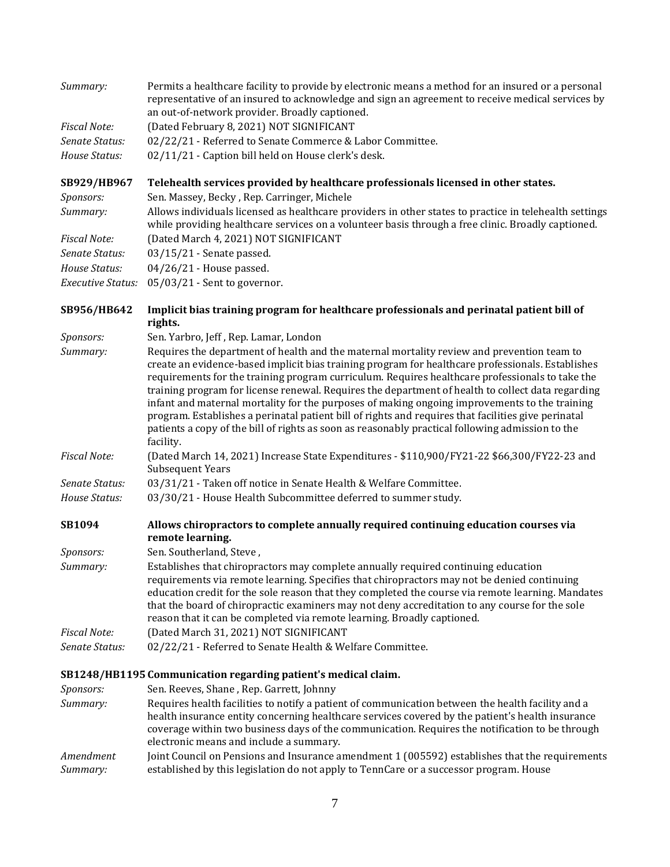| Summary:                 | Permits a healthcare facility to provide by electronic means a method for an insured or a personal<br>representative of an insured to acknowledge and sign an agreement to receive medical services by<br>an out-of-network provider. Broadly captioned.                                                                                                                                                                                                                                                                      |
|--------------------------|-------------------------------------------------------------------------------------------------------------------------------------------------------------------------------------------------------------------------------------------------------------------------------------------------------------------------------------------------------------------------------------------------------------------------------------------------------------------------------------------------------------------------------|
| <b>Fiscal Note:</b>      | (Dated February 8, 2021) NOT SIGNIFICANT                                                                                                                                                                                                                                                                                                                                                                                                                                                                                      |
| Senate Status:           | 02/22/21 - Referred to Senate Commerce & Labor Committee.                                                                                                                                                                                                                                                                                                                                                                                                                                                                     |
| House Status:            | 02/11/21 - Caption bill held on House clerk's desk.                                                                                                                                                                                                                                                                                                                                                                                                                                                                           |
| SB929/HB967              | Telehealth services provided by healthcare professionals licensed in other states.                                                                                                                                                                                                                                                                                                                                                                                                                                            |
| Sponsors:                | Sen. Massey, Becky, Rep. Carringer, Michele                                                                                                                                                                                                                                                                                                                                                                                                                                                                                   |
| Summary:                 | Allows individuals licensed as healthcare providers in other states to practice in telehealth settings<br>while providing healthcare services on a volunteer basis through a free clinic. Broadly captioned.                                                                                                                                                                                                                                                                                                                  |
| <b>Fiscal Note:</b>      | (Dated March 4, 2021) NOT SIGNIFICANT                                                                                                                                                                                                                                                                                                                                                                                                                                                                                         |
| Senate Status:           | 03/15/21 - Senate passed.                                                                                                                                                                                                                                                                                                                                                                                                                                                                                                     |
| House Status:            | 04/26/21 - House passed.                                                                                                                                                                                                                                                                                                                                                                                                                                                                                                      |
| <b>Executive Status:</b> | 05/03/21 - Sent to governor.                                                                                                                                                                                                                                                                                                                                                                                                                                                                                                  |
| SB956/HB642              | Implicit bias training program for healthcare professionals and perinatal patient bill of<br>rights.                                                                                                                                                                                                                                                                                                                                                                                                                          |
| Sponsors:                | Sen. Yarbro, Jeff, Rep. Lamar, London                                                                                                                                                                                                                                                                                                                                                                                                                                                                                         |
| Summary:                 | Requires the department of health and the maternal mortality review and prevention team to<br>create an evidence-based implicit bias training program for healthcare professionals. Establishes                                                                                                                                                                                                                                                                                                                               |
|                          | requirements for the training program curriculum. Requires healthcare professionals to take the<br>training program for license renewal. Requires the department of health to collect data regarding<br>infant and maternal mortality for the purposes of making ongoing improvements to the training<br>program. Establishes a perinatal patient bill of rights and requires that facilities give perinatal<br>patients a copy of the bill of rights as soon as reasonably practical following admission to the<br>facility. |
| <b>Fiscal Note:</b>      | (Dated March 14, 2021) Increase State Expenditures - \$110,900/FY21-22 \$66,300/FY22-23 and<br><b>Subsequent Years</b>                                                                                                                                                                                                                                                                                                                                                                                                        |
| Senate Status:           | 03/31/21 - Taken off notice in Senate Health & Welfare Committee.                                                                                                                                                                                                                                                                                                                                                                                                                                                             |
| House Status:            | 03/30/21 - House Health Subcommittee deferred to summer study.                                                                                                                                                                                                                                                                                                                                                                                                                                                                |
| SB1094                   | Allows chiropractors to complete annually required continuing education courses via<br>remote learning.                                                                                                                                                                                                                                                                                                                                                                                                                       |
| Sponsors:                | Sen. Southerland, Steve,                                                                                                                                                                                                                                                                                                                                                                                                                                                                                                      |
| Summary:                 | Establishes that chiropractors may complete annually required continuing education<br>requirements via remote learning. Specifies that chiropractors may not be denied continuing<br>education credit for the sole reason that they completed the course via remote learning. Mandates<br>that the board of chiropractic examiners may not deny accreditation to any course for the sole<br>reason that it can be completed via remote learning. Broadly captioned.                                                           |
| <b>Fiscal Note:</b>      | (Dated March 31, 2021) NOT SIGNIFICANT                                                                                                                                                                                                                                                                                                                                                                                                                                                                                        |
| Senate Status:           | 02/22/21 - Referred to Senate Health & Welfare Committee.                                                                                                                                                                                                                                                                                                                                                                                                                                                                     |
|                          | SB1248/HB1195 Communication regarding patient's medical claim.                                                                                                                                                                                                                                                                                                                                                                                                                                                                |
| Sponsors:                | Sen. Reeves, Shane, Rep. Garrett, Johnny                                                                                                                                                                                                                                                                                                                                                                                                                                                                                      |
| Summary:                 | Requires health facilities to notify a patient of communication between the health facility and a<br>health insurance entity concerning healthcare services covered by the patient's health insurance<br>coverage within two business days of the communication. Requires the notification to be through<br>electronic means and include a summary.                                                                                                                                                                           |
| Amendment<br>Summary:    | Joint Council on Pensions and Insurance amendment 1 (005592) establishes that the requirements<br>established by this legislation do not apply to TennCare or a successor program. House                                                                                                                                                                                                                                                                                                                                      |

7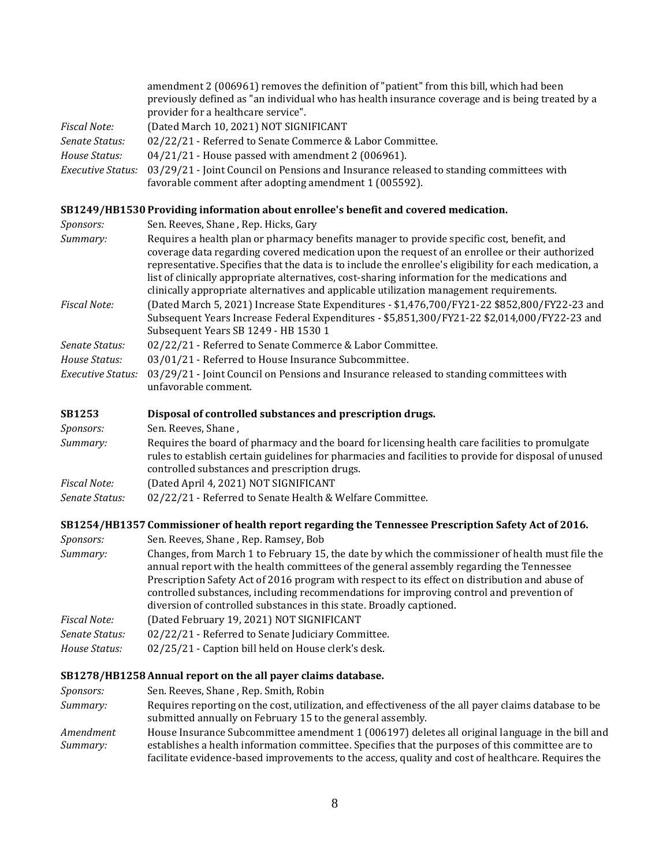|                          | amendment 2 (006961) removes the definition of "patient" from this bill, which had been<br>previously defined as "an individual who has health insurance coverage and is being treated by a<br>provider for a healthcare service". |
|--------------------------|------------------------------------------------------------------------------------------------------------------------------------------------------------------------------------------------------------------------------------|
| Fiscal Note:             | (Dated March 10, 2021) NOT SIGNIFICANT                                                                                                                                                                                             |
| Senate Status:           | 02/22/21 - Referred to Senate Commerce & Labor Committee.                                                                                                                                                                          |
| House Status:            | $04/21/21$ - House passed with amendment 2 (006961).                                                                                                                                                                               |
| <b>Executive Status:</b> | 03/29/21 - Joint Council on Pensions and Insurance released to standing committees with<br>favorable comment after adopting amendment 1 (005592).                                                                                  |

### **[SB1249/HB1530 Providing information about enrollee's benefit and covered medication.](https://tls.mleesmith.com/2021-2022/pdf/SB1249.pdf)**

| <i>Sponsors:</i>    | Sen. Reeves, Shane, Rep. Hicks, Gary                                                                                                                                                                                                                                                                                                                                                                                                                                                                |
|---------------------|-----------------------------------------------------------------------------------------------------------------------------------------------------------------------------------------------------------------------------------------------------------------------------------------------------------------------------------------------------------------------------------------------------------------------------------------------------------------------------------------------------|
| Summary:            | Requires a health plan or pharmacy benefits manager to provide specific cost, benefit, and<br>coverage data regarding covered medication upon the request of an enrollee or their authorized<br>representative. Specifies that the data is to include the enrollee's eligibility for each medication, a<br>list of clinically appropriate alternatives, cost-sharing information for the medications and<br>clinically appropriate alternatives and applicable utilization management requirements. |
| <b>Fiscal Note:</b> | (Dated March 5, 2021) Increase State Expenditures - \$1,476,700/FY21-22 \$852,800/FY22-23 and<br>Subsequent Years Increase Federal Expenditures - \$5,851,300/FY21-22 \$2,014,000/FY22-23 and<br>Subsequent Years SB 1249 - HB 1530 1                                                                                                                                                                                                                                                               |
| Senate Status:      | 02/22/21 - Referred to Senate Commerce & Labor Committee.                                                                                                                                                                                                                                                                                                                                                                                                                                           |
| House Status:       | 03/01/21 - Referred to House Insurance Subcommittee.                                                                                                                                                                                                                                                                                                                                                                                                                                                |
| Executive Status:   | 03/29/21 - Joint Council on Pensions and Insurance released to standing committees with<br>unfavorable comment.                                                                                                                                                                                                                                                                                                                                                                                     |
| CD1759              | Disposal of controlled substances and proscription drugs                                                                                                                                                                                                                                                                                                                                                                                                                                            |

| Disposal of controlled substances and prescription drugs.                                                                                                                                                                                                 |
|-----------------------------------------------------------------------------------------------------------------------------------------------------------------------------------------------------------------------------------------------------------|
| Sen. Reeves, Shane,                                                                                                                                                                                                                                       |
| Requires the board of pharmacy and the board for licensing health care facilities to promulgate<br>rules to establish certain guidelines for pharmacies and facilities to provide for disposal of unused<br>controlled substances and prescription drugs. |
| (Dated April 4, 2021) NOT SIGNIFICANT                                                                                                                                                                                                                     |
| 02/22/21 - Referred to Senate Health & Welfare Committee.                                                                                                                                                                                                 |
|                                                                                                                                                                                                                                                           |

### **[SB1254/HB1357 Commissioner of health report regarding the Tennessee Prescription Safety Act of 2016.](https://tls.mleesmith.com/2021-2022/pdf/SB1254.pdf)**

| <i>Sponsors:</i> | Sen. Reeves, Shane, Rep. Ramsey, Bob                                                                                                                                                                                                                                                                                                                                                                                                                                |
|------------------|---------------------------------------------------------------------------------------------------------------------------------------------------------------------------------------------------------------------------------------------------------------------------------------------------------------------------------------------------------------------------------------------------------------------------------------------------------------------|
| Summary:         | Changes, from March 1 to February 15, the date by which the commissioner of health must file the<br>annual report with the health committees of the general assembly regarding the Tennessee<br>Prescription Safety Act of 2016 program with respect to its effect on distribution and abuse of<br>controlled substances, including recommendations for improving control and prevention of<br>diversion of controlled substances in this state. Broadly captioned. |
| Fiscal Note:     | (Dated February 19, 2021) NOT SIGNIFICANT                                                                                                                                                                                                                                                                                                                                                                                                                           |
| Senate Status:   | 02/22/21 - Referred to Senate Judiciary Committee.                                                                                                                                                                                                                                                                                                                                                                                                                  |
| House Status:    | 02/25/21 - Caption bill held on House clerk's desk.                                                                                                                                                                                                                                                                                                                                                                                                                 |

## **[SB1278/HB1258 Annual report on the all payer claims database.](https://tls.mleesmith.com/2021-2022/pdf/SB1278.pdf)**

| <i>Sponsors:</i> | Sen. Reeves, Shane, Rep. Smith, Robin                                                                 |
|------------------|-------------------------------------------------------------------------------------------------------|
| Summary:         | Requires reporting on the cost, utilization, and effectiveness of the all payer claims database to be |
|                  | submitted annually on February 15 to the general assembly.                                            |
| Amendment        | House Insurance Subcommittee amendment 1 (006197) deletes all original language in the bill and       |
| Summary:         | establishes a health information committee. Specifies that the purposes of this committee are to      |
|                  | facilitate evidence-based improvements to the access, quality and cost of healthcare. Requires the    |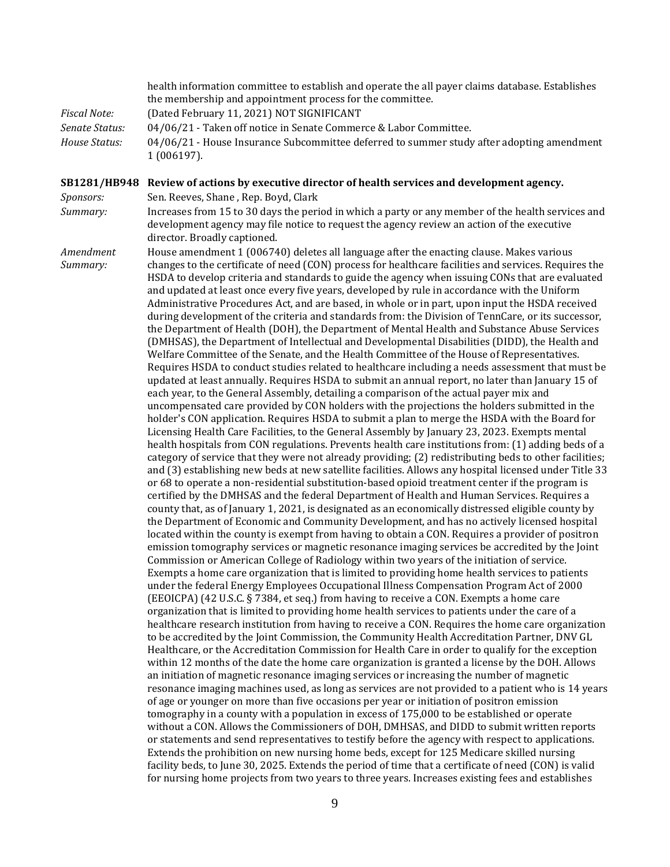|                       | health information committee to establish and operate the all payer claims database. Establishes<br>the membership and appointment process for the committee.                                                                                                                                                                                                                                                                                                                                                                                                                                                                                                                                                                                                                                                                                                                                                                                                                                                                                                                                                                                                                                                                                                                                                                                                                                                                                                                                                                                                                                                                                                                                                                                                                                                                                                                                                                                                                                                                                                                                                                                                                                                                                                                                                                                                                                                                                                                                                                                           |
|-----------------------|---------------------------------------------------------------------------------------------------------------------------------------------------------------------------------------------------------------------------------------------------------------------------------------------------------------------------------------------------------------------------------------------------------------------------------------------------------------------------------------------------------------------------------------------------------------------------------------------------------------------------------------------------------------------------------------------------------------------------------------------------------------------------------------------------------------------------------------------------------------------------------------------------------------------------------------------------------------------------------------------------------------------------------------------------------------------------------------------------------------------------------------------------------------------------------------------------------------------------------------------------------------------------------------------------------------------------------------------------------------------------------------------------------------------------------------------------------------------------------------------------------------------------------------------------------------------------------------------------------------------------------------------------------------------------------------------------------------------------------------------------------------------------------------------------------------------------------------------------------------------------------------------------------------------------------------------------------------------------------------------------------------------------------------------------------------------------------------------------------------------------------------------------------------------------------------------------------------------------------------------------------------------------------------------------------------------------------------------------------------------------------------------------------------------------------------------------------------------------------------------------------------------------------------------------------|
| <b>Fiscal Note:</b>   | (Dated February 11, 2021) NOT SIGNIFICANT                                                                                                                                                                                                                                                                                                                                                                                                                                                                                                                                                                                                                                                                                                                                                                                                                                                                                                                                                                                                                                                                                                                                                                                                                                                                                                                                                                                                                                                                                                                                                                                                                                                                                                                                                                                                                                                                                                                                                                                                                                                                                                                                                                                                                                                                                                                                                                                                                                                                                                               |
| Senate Status:        | 04/06/21 - Taken off notice in Senate Commerce & Labor Committee.                                                                                                                                                                                                                                                                                                                                                                                                                                                                                                                                                                                                                                                                                                                                                                                                                                                                                                                                                                                                                                                                                                                                                                                                                                                                                                                                                                                                                                                                                                                                                                                                                                                                                                                                                                                                                                                                                                                                                                                                                                                                                                                                                                                                                                                                                                                                                                                                                                                                                       |
| House Status:         | 04/06/21 - House Insurance Subcommittee deferred to summer study after adopting amendment<br>1 (006197).                                                                                                                                                                                                                                                                                                                                                                                                                                                                                                                                                                                                                                                                                                                                                                                                                                                                                                                                                                                                                                                                                                                                                                                                                                                                                                                                                                                                                                                                                                                                                                                                                                                                                                                                                                                                                                                                                                                                                                                                                                                                                                                                                                                                                                                                                                                                                                                                                                                |
| Sponsors:             | SB1281/HB948 Review of actions by executive director of health services and development agency.<br>Sen. Reeves, Shane, Rep. Boyd, Clark                                                                                                                                                                                                                                                                                                                                                                                                                                                                                                                                                                                                                                                                                                                                                                                                                                                                                                                                                                                                                                                                                                                                                                                                                                                                                                                                                                                                                                                                                                                                                                                                                                                                                                                                                                                                                                                                                                                                                                                                                                                                                                                                                                                                                                                                                                                                                                                                                 |
| Summary:              | Increases from 15 to 30 days the period in which a party or any member of the health services and                                                                                                                                                                                                                                                                                                                                                                                                                                                                                                                                                                                                                                                                                                                                                                                                                                                                                                                                                                                                                                                                                                                                                                                                                                                                                                                                                                                                                                                                                                                                                                                                                                                                                                                                                                                                                                                                                                                                                                                                                                                                                                                                                                                                                                                                                                                                                                                                                                                       |
|                       | development agency may file notice to request the agency review an action of the executive<br>director. Broadly captioned.                                                                                                                                                                                                                                                                                                                                                                                                                                                                                                                                                                                                                                                                                                                                                                                                                                                                                                                                                                                                                                                                                                                                                                                                                                                                                                                                                                                                                                                                                                                                                                                                                                                                                                                                                                                                                                                                                                                                                                                                                                                                                                                                                                                                                                                                                                                                                                                                                              |
| Amendment<br>Summary: | House amendment 1 (006740) deletes all language after the enacting clause. Makes various<br>changes to the certificate of need (CON) process for healthcare facilities and services. Requires the<br>HSDA to develop criteria and standards to guide the agency when issuing CONs that are evaluated<br>and updated at least once every five years, developed by rule in accordance with the Uniform<br>Administrative Procedures Act, and are based, in whole or in part, upon input the HSDA received<br>during development of the criteria and standards from: the Division of TennCare, or its successor,<br>the Department of Health (DOH), the Department of Mental Health and Substance Abuse Services<br>(DMHSAS), the Department of Intellectual and Developmental Disabilities (DIDD), the Health and<br>Welfare Committee of the Senate, and the Health Committee of the House of Representatives.<br>Requires HSDA to conduct studies related to healthcare including a needs assessment that must be<br>updated at least annually. Requires HSDA to submit an annual report, no later than January 15 of<br>each year, to the General Assembly, detailing a comparison of the actual payer mix and<br>uncompensated care provided by CON holders with the projections the holders submitted in the<br>holder's CON application. Requires HSDA to submit a plan to merge the HSDA with the Board for<br>Licensing Health Care Facilities, to the General Assembly by January 23, 2023. Exempts mental<br>health hospitals from CON regulations. Prevents health care institutions from: (1) adding beds of a<br>category of service that they were not already providing; (2) redistributing beds to other facilities;<br>and (3) establishing new beds at new satellite facilities. Allows any hospital licensed under Title 33<br>or 68 to operate a non-residential substitution-based opioid treatment center if the program is<br>certified by the DMHSAS and the federal Department of Health and Human Services. Requires a<br>county that, as of January 1, 2021, is designated as an economically distressed eligible county by<br>the Department of Economic and Community Development, and has no actively licensed hospital<br>located within the county is exempt from having to obtain a CON. Requires a provider of positron<br>emission tomography services or magnetic resonance imaging services be accredited by the Joint<br>Commission or American College of Radiology within two years of the initiation of service. |
|                       | Exempts a home care organization that is limited to providing home health services to patients<br>under the federal Energy Employees Occupational Illness Compensation Program Act of 2000<br>(EEOICPA) (42 U.S.C. § 7384, et seq.) from having to receive a CON. Exempts a home care<br>organization that is limited to providing home health services to patients under the care of a                                                                                                                                                                                                                                                                                                                                                                                                                                                                                                                                                                                                                                                                                                                                                                                                                                                                                                                                                                                                                                                                                                                                                                                                                                                                                                                                                                                                                                                                                                                                                                                                                                                                                                                                                                                                                                                                                                                                                                                                                                                                                                                                                                 |
|                       | healthcare research institution from having to receive a CON. Requires the home care organization<br>to be accredited by the Joint Commission, the Community Health Accreditation Partner, DNV GL<br>Healthcare, or the Accreditation Commission for Health Care in order to qualify for the exception<br>within 12 months of the date the home care organization is granted a license by the DOH. Allows                                                                                                                                                                                                                                                                                                                                                                                                                                                                                                                                                                                                                                                                                                                                                                                                                                                                                                                                                                                                                                                                                                                                                                                                                                                                                                                                                                                                                                                                                                                                                                                                                                                                                                                                                                                                                                                                                                                                                                                                                                                                                                                                               |
|                       | an initiation of magnetic resonance imaging services or increasing the number of magnetic<br>resonance imaging machines used, as long as services are not provided to a patient who is 14 years                                                                                                                                                                                                                                                                                                                                                                                                                                                                                                                                                                                                                                                                                                                                                                                                                                                                                                                                                                                                                                                                                                                                                                                                                                                                                                                                                                                                                                                                                                                                                                                                                                                                                                                                                                                                                                                                                                                                                                                                                                                                                                                                                                                                                                                                                                                                                         |
|                       | of age or younger on more than five occasions per year or initiation of positron emission                                                                                                                                                                                                                                                                                                                                                                                                                                                                                                                                                                                                                                                                                                                                                                                                                                                                                                                                                                                                                                                                                                                                                                                                                                                                                                                                                                                                                                                                                                                                                                                                                                                                                                                                                                                                                                                                                                                                                                                                                                                                                                                                                                                                                                                                                                                                                                                                                                                               |
|                       | tomography in a county with a population in excess of 175,000 to be established or operate                                                                                                                                                                                                                                                                                                                                                                                                                                                                                                                                                                                                                                                                                                                                                                                                                                                                                                                                                                                                                                                                                                                                                                                                                                                                                                                                                                                                                                                                                                                                                                                                                                                                                                                                                                                                                                                                                                                                                                                                                                                                                                                                                                                                                                                                                                                                                                                                                                                              |
|                       | without a CON. Allows the Commissioners of DOH, DMHSAS, and DIDD to submit written reports                                                                                                                                                                                                                                                                                                                                                                                                                                                                                                                                                                                                                                                                                                                                                                                                                                                                                                                                                                                                                                                                                                                                                                                                                                                                                                                                                                                                                                                                                                                                                                                                                                                                                                                                                                                                                                                                                                                                                                                                                                                                                                                                                                                                                                                                                                                                                                                                                                                              |
|                       | or statements and send representatives to testify before the agency with respect to applications.                                                                                                                                                                                                                                                                                                                                                                                                                                                                                                                                                                                                                                                                                                                                                                                                                                                                                                                                                                                                                                                                                                                                                                                                                                                                                                                                                                                                                                                                                                                                                                                                                                                                                                                                                                                                                                                                                                                                                                                                                                                                                                                                                                                                                                                                                                                                                                                                                                                       |
|                       | Extends the prohibition on new nursing home beds, except for 125 Medicare skilled nursing                                                                                                                                                                                                                                                                                                                                                                                                                                                                                                                                                                                                                                                                                                                                                                                                                                                                                                                                                                                                                                                                                                                                                                                                                                                                                                                                                                                                                                                                                                                                                                                                                                                                                                                                                                                                                                                                                                                                                                                                                                                                                                                                                                                                                                                                                                                                                                                                                                                               |
|                       | facility beds, to June 30, 2025. Extends the period of time that a certificate of need (CON) is valid                                                                                                                                                                                                                                                                                                                                                                                                                                                                                                                                                                                                                                                                                                                                                                                                                                                                                                                                                                                                                                                                                                                                                                                                                                                                                                                                                                                                                                                                                                                                                                                                                                                                                                                                                                                                                                                                                                                                                                                                                                                                                                                                                                                                                                                                                                                                                                                                                                                   |
|                       | for nursing home projects from two years to three years. Increases existing fees and establishes                                                                                                                                                                                                                                                                                                                                                                                                                                                                                                                                                                                                                                                                                                                                                                                                                                                                                                                                                                                                                                                                                                                                                                                                                                                                                                                                                                                                                                                                                                                                                                                                                                                                                                                                                                                                                                                                                                                                                                                                                                                                                                                                                                                                                                                                                                                                                                                                                                                        |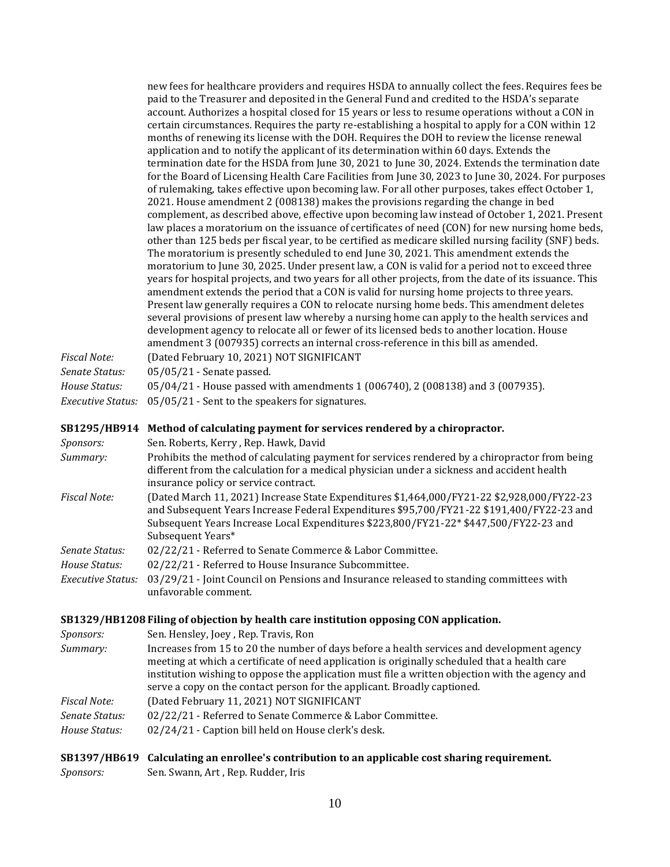new fees for healthcare providers and requires HSDA to annually collect the fees. Requires fees be paid to the Treasurer and deposited in the General Fund and credited to the HSDA's separate account. Authorizes a hospital closed for 15 years or less to resume operations without a CON in certain circumstances. Requires the party re-establishing a hospital to apply for a CON within 12 months of renewing its license with the DOH. Requires the DOH to review the license renewal application and to notify the applicant of its determination within 60 days. Extends the termination date for the HSDA from June 30, 2021 to June 30, 2024. Extends the termination date for the Board of Licensing Health Care Facilities from June 30, 2023 to June 30, 2024. For purposes of rulemaking, takes effective upon becoming law. For all other purposes, takes effect October 1, 2021. House amendment 2 (008138) makes the provisions regarding the change in bed complement, as described above, effective upon becoming law instead of October 1, 2021. Present law places a moratorium on the issuance of certificates of need (CON) for new nursing home beds, other than 125 beds per fiscal year, to be certified as medicare skilled nursing facility (SNF) beds. The moratorium is presently scheduled to end June 30, 2021. This amendment extends the moratorium to June 30, 2025. Under present law, a CON is valid for a period not to exceed three years for hospital projects, and two years for all other projects, from the date of its issuance. This amendment extends the period that a CON is valid for nursing home projects to three years. Present law generally requires a CON to relocate nursing home beds. This amendment deletes several provisions of present law whereby a nursing home can apply to the health services and development agency to relocate all or fewer of its licensed beds to another location. House amendment 3 (007935) corrects an internal cross-reference in this bill as amended.

| Fiscal Note:   | (Dated February 10, 2021) NOT SIGNIFICANT                                          |
|----------------|------------------------------------------------------------------------------------|
| Senate Status: | $05/05/21$ - Senate passed.                                                        |
| House Status:  | $0.05/04/21$ - House passed with amendments 1 (006740), 2 (008138) and 3 (007935). |
|                | <i>Executive Status:</i> 05/05/21 - Sent to the speakers for signatures.           |

#### **[SB1295/HB914 Method of calculating payment for services rendered by a chiropractor.](https://tls.mleesmith.com/2021-2022/pdf/SB1295.pdf)**

| <i>Sponsors:</i>    | Sen. Roberts, Kerry, Rep. Hawk, David                                                                                                                                                                                                                                                                 |
|---------------------|-------------------------------------------------------------------------------------------------------------------------------------------------------------------------------------------------------------------------------------------------------------------------------------------------------|
| Summary:            | Prohibits the method of calculating payment for services rendered by a chiropractor from being<br>different from the calculation for a medical physician under a sickness and accident health<br>insurance policy or service contract.                                                                |
| <b>Fiscal Note:</b> | (Dated March 11, 2021) Increase State Expenditures \$1,464,000/FY21-22 \$2,928,000/FY22-23<br>and Subsequent Years Increase Federal Expenditures \$95,700/FY21-22 \$191,400/FY22-23 and<br>Subsequent Years Increase Local Expenditures \$223,800/FY21-22* \$447,500/FY22-23 and<br>Subsequent Years* |
| Senate Status:      | 02/22/21 - Referred to Senate Commerce & Labor Committee.                                                                                                                                                                                                                                             |
| House Status:       | 02/22/21 - Referred to House Insurance Subcommittee.                                                                                                                                                                                                                                                  |
| Executive Status:   | 03/29/21 - Joint Council on Pensions and Insurance released to standing committees with<br>unfavorable comment.                                                                                                                                                                                       |

#### **[SB1329/HB1208 Filing of objection by health care institution opposing CON application.](https://tls.mleesmith.com/2021-2022/pdf/SB1329.pdf)**

*Sponsors:* Sen. Hensley, Joey , Rep. Travis, Ron *Summary:* Increases from 15 to 20 the number of days before a health services and development agency meeting at which a certificate of need application is originally scheduled that a health care institution wishing to oppose the application must file a written objection with the agency and serve a copy on the contact person for the applicant. Broadly captioned. *Fiscal Note:* (Dated February 11, 2021) NOT SIGNIFICANT *Senate Status:* 02/22/21 - Referred to Senate Commerce & Labor Committee. *House Status:* 02/24/21 - Caption bill held on House clerk's desk.

### **[SB1397/HB619 Calculating an enrollee's contribution to an applicable cost sharing requirement.](https://tls.mleesmith.com/2021-2022/pdf/SB1397.pdf)**

*Sponsors:* Sen. Swann, Art , Rep. Rudder, Iris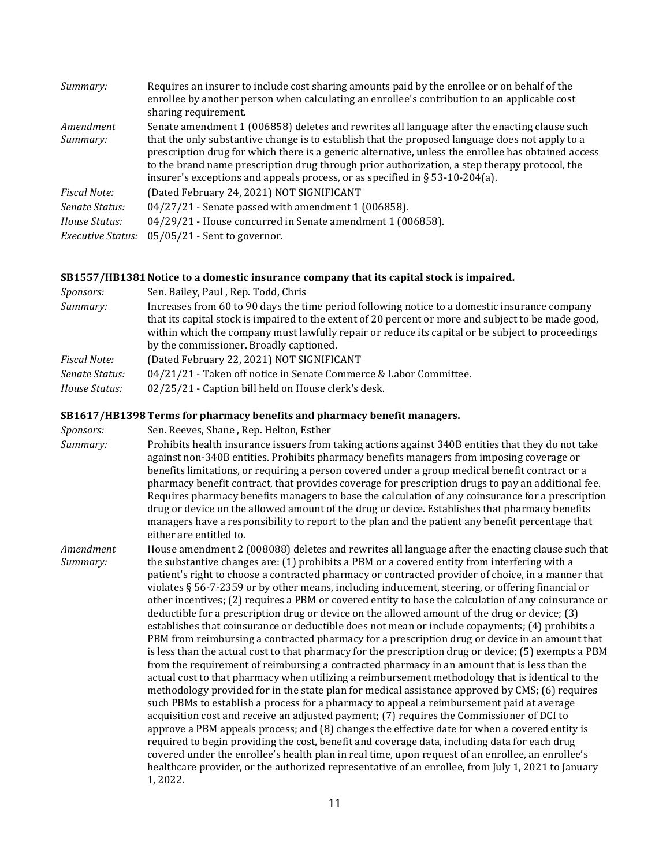| Summary:                 | Requires an insurer to include cost sharing amounts paid by the enrollee or on behalf of the<br>enrollee by another person when calculating an enrollee's contribution to an applicable cost<br>sharing requirement.                                                                                                                                                                        |
|--------------------------|---------------------------------------------------------------------------------------------------------------------------------------------------------------------------------------------------------------------------------------------------------------------------------------------------------------------------------------------------------------------------------------------|
| Amendment                | Senate amendment 1 (006858) deletes and rewrites all language after the enacting clause such                                                                                                                                                                                                                                                                                                |
| Summary:                 | that the only substantive change is to establish that the proposed language does not apply to a<br>prescription drug for which there is a generic alternative, unless the enrollee has obtained access<br>to the brand name prescription drug through prior authorization, a step therapy protocol, the<br>insurer's exceptions and appeals process, or as specified in $\S 53-10-204(a)$ . |
| <b>Fiscal Note:</b>      | (Dated February 24, 2021) NOT SIGNIFICANT                                                                                                                                                                                                                                                                                                                                                   |
| Senate Status:           | 04/27/21 - Senate passed with amendment 1 (006858).                                                                                                                                                                                                                                                                                                                                         |
| House Status:            | 04/29/21 - House concurred in Senate amendment 1 (006858).                                                                                                                                                                                                                                                                                                                                  |
| <b>Executive Status:</b> | $05/05/21$ - Sent to governor.                                                                                                                                                                                                                                                                                                                                                              |

#### **[SB1557/HB1381 Notice to a domestic insurance company that its capital stock is impaired.](https://tls.mleesmith.com/2021-2022/pdf/SB1557.pdf)**

| <i>Sponsors:</i>                | Sen. Bailey, Paul, Rep. Todd, Chris                                                                                                                                                                                                                                                                                                                 |
|---------------------------------|-----------------------------------------------------------------------------------------------------------------------------------------------------------------------------------------------------------------------------------------------------------------------------------------------------------------------------------------------------|
| Summary:                        | Increases from 60 to 90 days the time period following notice to a domestic insurance company<br>that its capital stock is impaired to the extent of 20 percent or more and subject to be made good,<br>within which the company must lawfully repair or reduce its capital or be subject to proceedings<br>by the commissioner. Broadly captioned. |
| <b>Fiscal Note:</b>             | (Dated February 22, 2021) NOT SIGNIFICANT                                                                                                                                                                                                                                                                                                           |
| Senate Status:<br>House Status: | 04/21/21 - Taken off notice in Senate Commerce & Labor Committee.<br>02/25/21 - Caption bill held on House clerk's desk.                                                                                                                                                                                                                            |

#### **[SB1617/HB1398 Terms for pharmacy benefits and pharmacy benefit managers.](https://tls.mleesmith.com/2021-2022/pdf/SB1617.pdf)**

*Sponsors:* Sen. Reeves, Shane , Rep. Helton, Esther

*Summary:* Prohibits health insurance issuers from taking actions against 340B entities that they do not take against non-340B entities. Prohibits pharmacy benefits managers from imposing coverage or benefits limitations, or requiring a person covered under a group medical benefit contract or a pharmacy benefit contract, that provides coverage for prescription drugs to pay an additional fee. Requires pharmacy benefits managers to base the calculation of any coinsurance for a prescription drug or device on the allowed amount of the drug or device. Establishes that pharmacy benefits managers have a responsibility to report to the plan and the patient any benefit percentage that either are entitled to.

*Amendment Summary:* House amendment 2 (008088) deletes and rewrites all language after the enacting clause such that the substantive changes are: (1) prohibits a PBM or a covered entity from interfering with a patient's right to choose a contracted pharmacy or contracted provider of choice, in a manner that violates § 56-7-2359 or by other means, including inducement, steering, or offering financial or other incentives; (2) requires a PBM or covered entity to base the calculation of any coinsurance or deductible for a prescription drug or device on the allowed amount of the drug or device; (3) establishes that coinsurance or deductible does not mean or include copayments; (4) prohibits a PBM from reimbursing a contracted pharmacy for a prescription drug or device in an amount that is less than the actual cost to that pharmacy for the prescription drug or device; (5) exempts a PBM from the requirement of reimbursing a contracted pharmacy in an amount that is less than the actual cost to that pharmacy when utilizing a reimbursement methodology that is identical to the methodology provided for in the state plan for medical assistance approved by CMS; (6) requires such PBMs to establish a process for a pharmacy to appeal a reimbursement paid at average acquisition cost and receive an adjusted payment; (7) requires the Commissioner of DCI to approve a PBM appeals process; and (8) changes the effective date for when a covered entity is required to begin providing the cost, benefit and coverage data, including data for each drug covered under the enrollee's health plan in real time, upon request of an enrollee, an enrollee's healthcare provider, or the authorized representative of an enrollee, from July 1, 2021 to January 1, 2022.